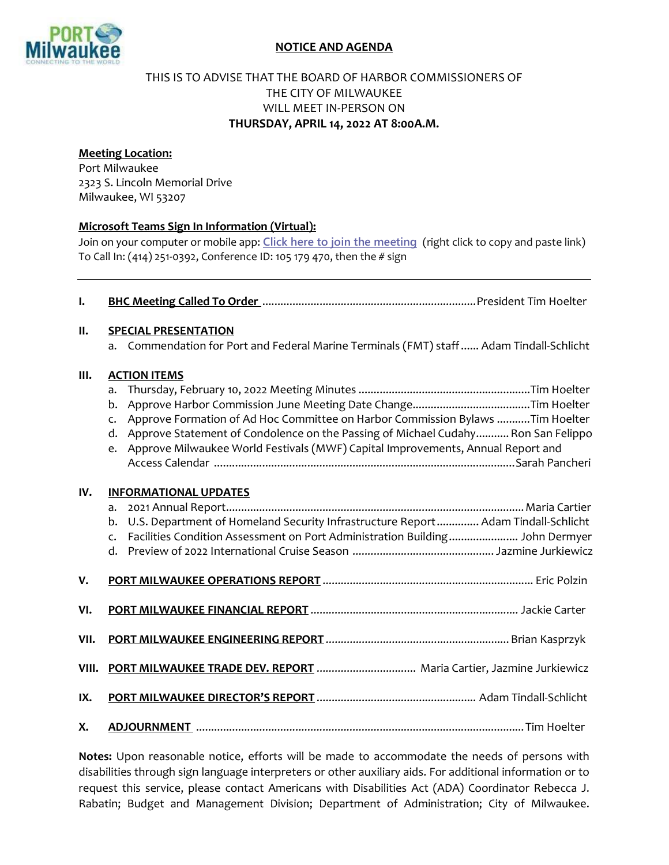

## NOTICE AND AGENDA

## THIS IS TO ADVISE THAT THE BOARD OF HARBOR COMMISSIONERS OF THE CITY OF MILWAUKEE WILL MEET IN-PERSON ON THURSDAY, APRIL 14, 2022 AT 8:00A.M.

## Meeting Location:

Port Milwaukee 2323 S. Lincoln Memorial Drive Milwaukee, WI 53207

## Microsoft Teams Sign In Information (Virtual):

Join on your computer or mobile app: [Click here to join the meeting](https://teams.microsoft.com/l/meetup-join/19%3ameeting_MmM3Zjc0NzYtOTcwOS00M2NiLTg4YzktOGQ0NjFlOGEzZGZj%40thread.v2/0?context=%7b%22Tid%22%3a%2238886459-5f77-4622-b90e-436c994ba501%22%2c%22Oid%22%3a%22beb24c8d-6f0f-4c34-9c67-5ae2b703445c%22%7d) (right click to copy and paste link) To Call In: (414) 251-0392, Conference ID: 105 179 470, then the # sign

| $\mathbf{l}$ . |                                                                                                                                                                                          |
|----------------|------------------------------------------------------------------------------------------------------------------------------------------------------------------------------------------|
| П.             | <b>SPECIAL PRESENTATION</b>                                                                                                                                                              |
|                | Commendation for Port and Federal Marine Terminals (FMT) staff Adam Tindall-Schlicht<br>a.                                                                                               |
| III.           | <b>ACTION ITEMS</b>                                                                                                                                                                      |
|                | a.<br>b.                                                                                                                                                                                 |
|                | Approve Formation of Ad Hoc Committee on Harbor Commission Bylaws Tim Hoelter<br>$\mathsf{C}$ .                                                                                          |
|                | Approve Statement of Condolence on the Passing of Michael Cudahy Ron San Felippo<br>d.                                                                                                   |
|                | Approve Milwaukee World Festivals (MWF) Capital Improvements, Annual Report and<br>e.                                                                                                    |
| IV.            | <b>INFORMATIONAL UPDATES</b>                                                                                                                                                             |
|                | a.                                                                                                                                                                                       |
|                | U.S. Department of Homeland Security Infrastructure Report Adam Tindall-Schlicht<br>b.<br>Facilities Condition Assessment on Port Administration Building John Dermyer<br>$\mathsf{C}$ . |
|                | d.                                                                                                                                                                                       |
| V.             |                                                                                                                                                                                          |
| VI.            |                                                                                                                                                                                          |
| VII.           |                                                                                                                                                                                          |
| VIII.          |                                                                                                                                                                                          |
| IX.            |                                                                                                                                                                                          |
| Χ.             |                                                                                                                                                                                          |

Notes: Upon reasonable notice, efforts will be made to accommodate the needs of persons with disabilities through sign language interpreters or other auxiliary aids. For additional information or to request this service, please contact Americans with Disabilities Act (ADA) Coordinator Rebecca J. Rabatin; Budget and Management Division; Department of Administration; City of Milwaukee.